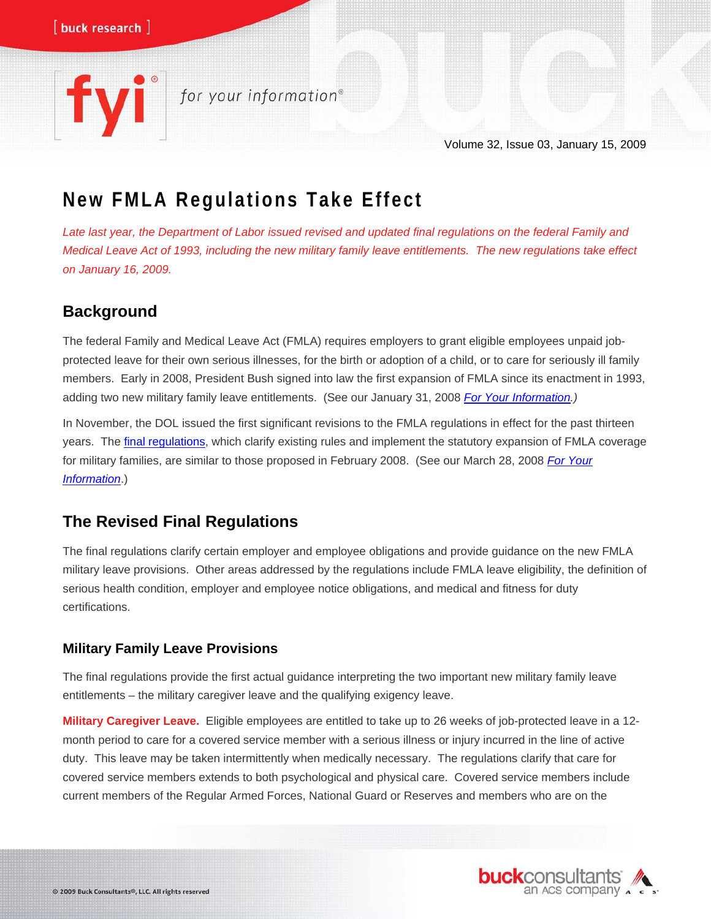# for your information®

Volume 32, Issue 03, January 15, 2009

# **New FMLA Regulations Take Effect**

*Late last year, the Department of Labor issued revised and updated final regulations on the federal Family and Medical Leave Act of 1993, including the new military family leave entitlements. The new regulations take effect on January 16, 2009.* 

## **Background**

The federal Family and Medical Leave Act (FMLA) requires employers to grant eligible employees unpaid jobprotected leave for their own serious illnesses, for the birth or adoption of a child, or to care for seriously ill family members. Early in 2008, President Bush signed into law the first expansion of FMLA since its enactment in 1993, adding two new military family leave entitlements. (See our January 31, 2008 *[For Your Information](http://www.buckconsultants.com/buckconsultants/Portals/0/Documents/PUBLICATIONS/Newsletters/FYI/2008/FYI_01_31_08.pdf).)*

In November, the DOL issued the first significant revisions to the FMLA regulations in effect for the past thirteen years. The [final regulations,](http://www.dol.gov/federalregister/PdfDisplay.aspx?DocId=21763) which clarify existing rules and implement the statutory expansion of FMLA coverage for military families, are similar to those proposed in February 2008. (See our March 28, 2008 *[For Your](http://www.buckconsultants.com/buckconsultants/Portals/0/Documents/PUBLICATIONS/Newsletters/FYI/2008/FYI_03_28_08.pdf)  [Information](http://www.buckconsultants.com/buckconsultants/Portals/0/Documents/PUBLICATIONS/Newsletters/FYI/2008/FYI_03_28_08.pdf)*.)

### **The Revised Final Regulations**

The final regulations clarify certain employer and employee obligations and provide guidance on the new FMLA military leave provisions. Other areas addressed by the regulations include FMLA leave eligibility, the definition of serious health condition, employer and employee notice obligations, and medical and fitness for duty certifications.

#### **Military Family Leave Provisions**

The final regulations provide the first actual guidance interpreting the two important new military family leave entitlements – the military caregiver leave and the qualifying exigency leave.

**Military Caregiver Leave.** Eligible employees are entitled to take up to 26 weeks of job-protected leave in a 12 month period to care for a covered service member with a serious illness or injury incurred in the line of active duty. This leave may be taken intermittently when medically necessary. The regulations clarify that care for covered service members extends to both psychological and physical care. Covered service members include current members of the Regular Armed Forces, National Guard or Reserves and members who are on the

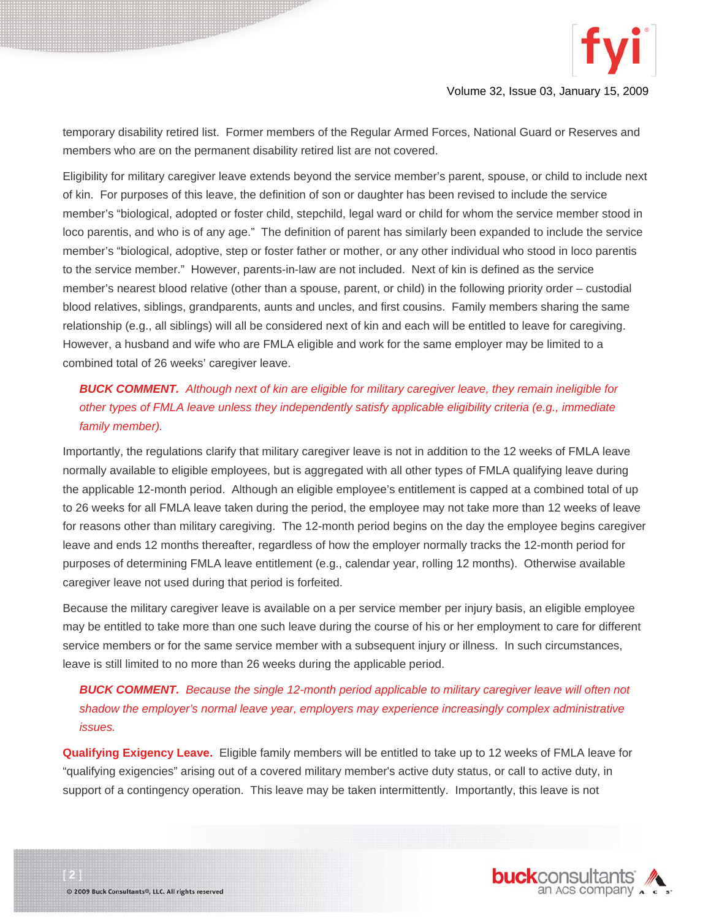

temporary disability retired list. Former members of the Regular Armed Forces, National Guard or Reserves and members who are on the permanent disability retired list are not covered.

Eligibility for military caregiver leave extends beyond the service member's parent, spouse, or child to include next of kin. For purposes of this leave, the definition of son or daughter has been revised to include the service member's "biological, adopted or foster child, stepchild, legal ward or child for whom the service member stood in loco parentis, and who is of any age." The definition of parent has similarly been expanded to include the service member's "biological, adoptive, step or foster father or mother, or any other individual who stood in loco parentis to the service member." However, parents-in-law are not included. Next of kin is defined as the service member's nearest blood relative (other than a spouse, parent, or child) in the following priority order – custodial blood relatives, siblings, grandparents, aunts and uncles, and first cousins. Family members sharing the same relationship (e.g., all siblings) will all be considered next of kin and each will be entitled to leave for caregiving. However, a husband and wife who are FMLA eligible and work for the same employer may be limited to a combined total of 26 weeks' caregiver leave.

#### *BUCK COMMENT. Although next of kin are eligible for military caregiver leave, they remain ineligible for other types of FMLA leave unless they independently satisfy applicable eligibility criteria (e.g., immediate family member).*

Importantly, the regulations clarify that military caregiver leave is not in addition to the 12 weeks of FMLA leave normally available to eligible employees, but is aggregated with all other types of FMLA qualifying leave during the applicable 12-month period. Although an eligible employee's entitlement is capped at a combined total of up to 26 weeks for all FMLA leave taken during the period, the employee may not take more than 12 weeks of leave for reasons other than military caregiving. The 12-month period begins on the day the employee begins caregiver leave and ends 12 months thereafter, regardless of how the employer normally tracks the 12-month period for purposes of determining FMLA leave entitlement (e.g., calendar year, rolling 12 months). Otherwise available caregiver leave not used during that period is forfeited.

Because the military caregiver leave is available on a per service member per injury basis, an eligible employee may be entitled to take more than one such leave during the course of his or her employment to care for different service members or for the same service member with a subsequent injury or illness. In such circumstances, leave is still limited to no more than 26 weeks during the applicable period.

#### *BUCK COMMENT. Because the single 12-month period applicable to military caregiver leave will often not shadow the employer's normal leave year, employers may experience increasingly complex administrative issues.*

**Qualifying Exigency Leave.** Eligible family members will be entitled to take up to 12 weeks of FMLA leave for "qualifying exigencies" arising out of a covered military member's active duty status, or call to active duty, in support of a contingency operation. This leave may be taken intermittently. Importantly, this leave is not

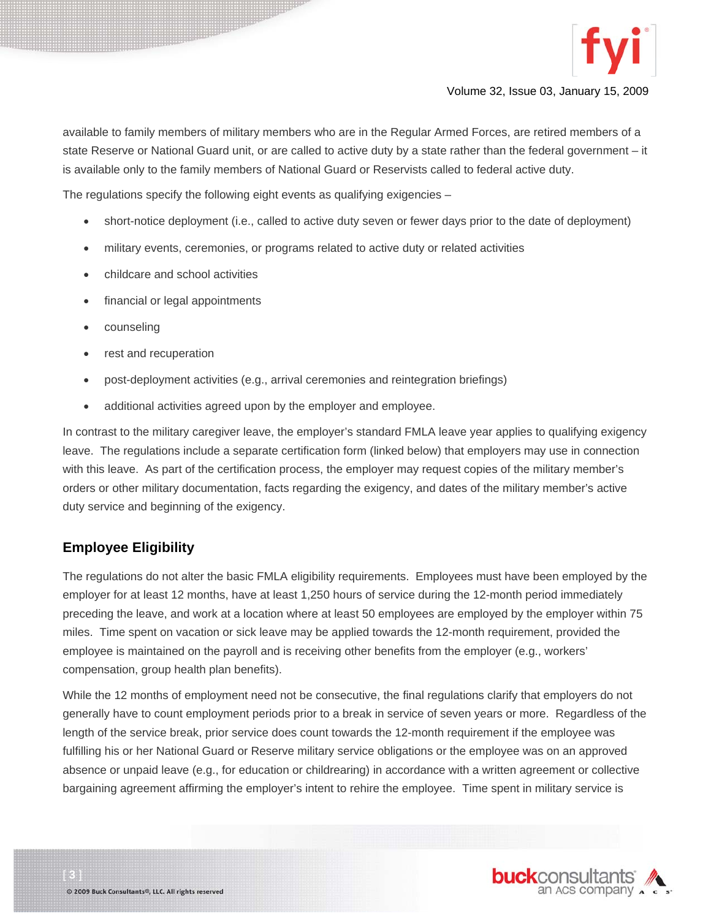

available to family members of military members who are in the Regular Armed Forces, are retired members of a state Reserve or National Guard unit, or are called to active duty by a state rather than the federal government – it is available only to the family members of National Guard or Reservists called to federal active duty.

The regulations specify the following eight events as qualifying exigencies –

- short-notice deployment (i.e., called to active duty seven or fewer days prior to the date of deployment)
- military events, ceremonies, or programs related to active duty or related activities
- childcare and school activities
- financial or legal appointments
- counseling
- rest and recuperation
- post-deployment activities (e.g., arrival ceremonies and reintegration briefings)
- additional activities agreed upon by the employer and employee.

In contrast to the military caregiver leave, the employer's standard FMLA leave year applies to qualifying exigency leave. The regulations include a separate certification form (linked below) that employers may use in connection with this leave. As part of the certification process, the employer may request copies of the military member's orders or other military documentation, facts regarding the exigency, and dates of the military member's active duty service and beginning of the exigency.

#### **Employee Eligibility**

The regulations do not alter the basic FMLA eligibility requirements. Employees must have been employed by the employer for at least 12 months, have at least 1,250 hours of service during the 12-month period immediately preceding the leave, and work at a location where at least 50 employees are employed by the employer within 75 miles. Time spent on vacation or sick leave may be applied towards the 12-month requirement, provided the employee is maintained on the payroll and is receiving other benefits from the employer (e.g., workers' compensation, group health plan benefits).

While the 12 months of employment need not be consecutive, the final regulations clarify that employers do not generally have to count employment periods prior to a break in service of seven years or more. Regardless of the length of the service break, prior service does count towards the 12-month requirement if the employee was fulfilling his or her National Guard or Reserve military service obligations or the employee was on an approved absence or unpaid leave (e.g., for education or childrearing) in accordance with a written agreement or collective bargaining agreement affirming the employer's intent to rehire the employee. Time spent in military service is

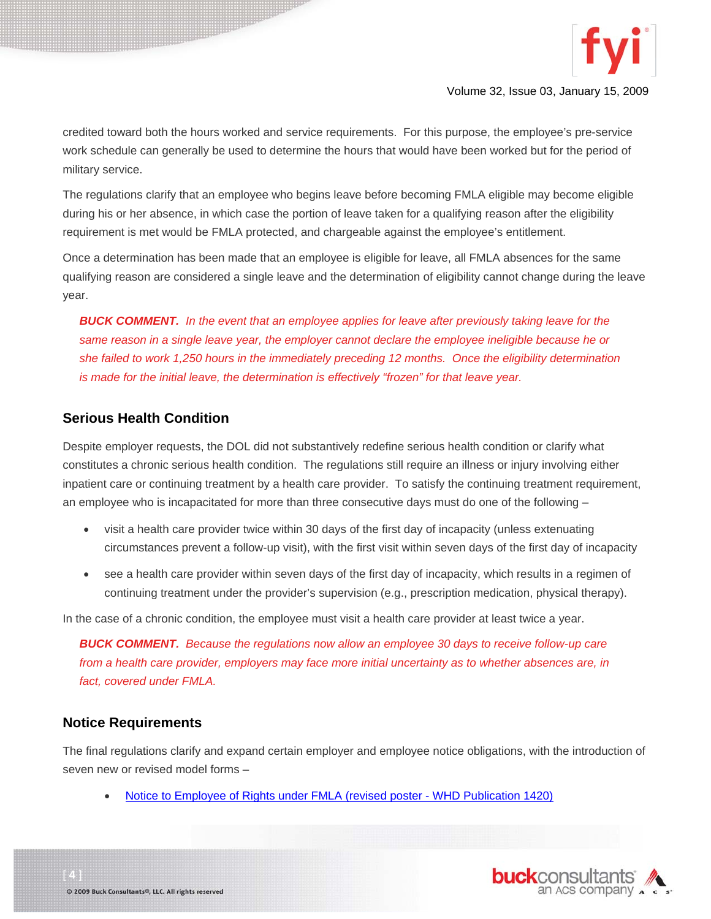

credited toward both the hours worked and service requirements. For this purpose, the employee's pre-service work schedule can generally be used to determine the hours that would have been worked but for the period of military service.

The regulations clarify that an employee who begins leave before becoming FMLA eligible may become eligible during his or her absence, in which case the portion of leave taken for a qualifying reason after the eligibility requirement is met would be FMLA protected, and chargeable against the employee's entitlement.

Once a determination has been made that an employee is eligible for leave, all FMLA absences for the same qualifying reason are considered a single leave and the determination of eligibility cannot change during the leave year.

*BUCK COMMENT. In the event that an employee applies for leave after previously taking leave for the same reason in a single leave year, the employer cannot declare the employee ineligible because he or she failed to work 1,250 hours in the immediately preceding 12 months. Once the eligibility determination is made for the initial leave, the determination is effectively "frozen" for that leave year.* 

#### **Serious Health Condition**

Despite employer requests, the DOL did not substantively redefine serious health condition or clarify what constitutes a chronic serious health condition. The regulations still require an illness or injury involving either inpatient care or continuing treatment by a health care provider. To satisfy the continuing treatment requirement, an employee who is incapacitated for more than three consecutive days must do one of the following –

- visit a health care provider twice within 30 days of the first day of incapacity (unless extenuating circumstances prevent a follow-up visit), with the first visit within seven days of the first day of incapacity
- see a health care provider within seven days of the first day of incapacity, which results in a regimen of continuing treatment under the provider's supervision (e.g., prescription medication, physical therapy).

In the case of a chronic condition, the employee must visit a health care provider at least twice a year.

*BUCK COMMENT. Because the regulations now allow an employee 30 days to receive follow-up care from a health care provider, employers may face more initial uncertainty as to whether absences are, in fact, covered under FMLA.* 

#### **Notice Requirements**

The final regulations clarify and expand certain employer and employee notice obligations, with the introduction of seven new or revised model forms –

• [Notice to Employee of Rights under FMLA \(revised poster - WHD Publication 1420\)](http://www.dol.gov/esa/whd/fmla/finalrule/FMLAPoster.pdf)

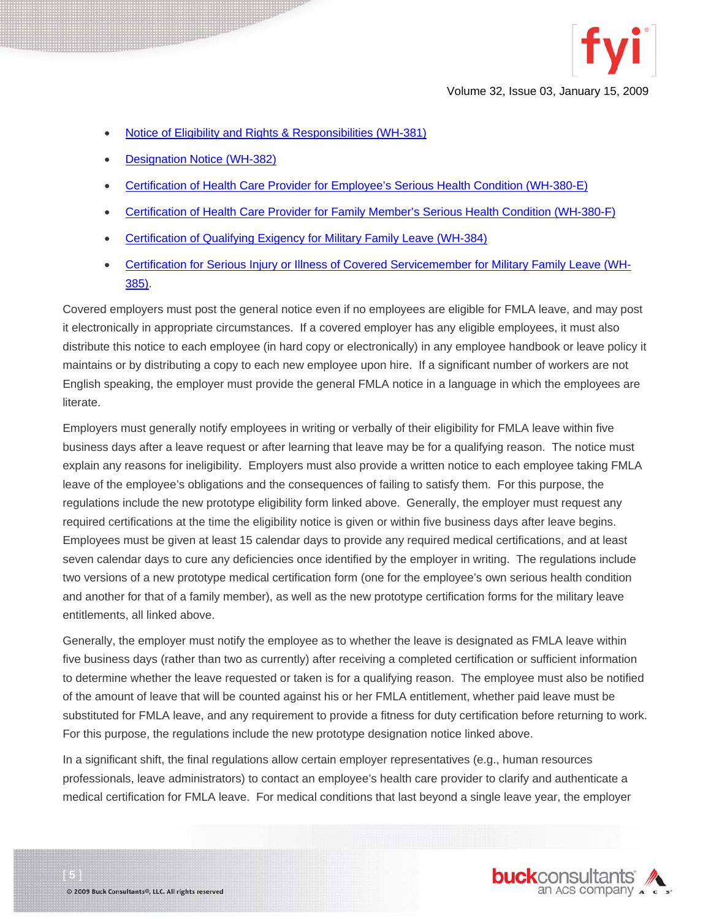

- [Notice of Eligibility and Rights & Responsibilities \(WH-381\)](http://www.dol.gov/esa/whd/fmla/finalrule/WH381.pdf)
- [Designation Notice \(WH-382\)](http://www.dol.gov/esa/whd/forms/WH-382.pdf)
- [Certification of Health Care Provider for Employee's Serious Health Condition \(WH-380-E\)](http://www.dol.gov/esa/whd/forms/WH-380-E.pdf)
- [Certification of Health Care Provider for Family Member's Serious Health Condition \(WH-380-F\)](http://www.dol.gov/esa/whd/forms/WH-380-F.pdf)
- [Certification of Qualifying Exigency for Military Family Leave \(WH-384\)](http://www.dol.gov/esa/whd/forms/WH-384.pdf)
- [Certification for Serious Injury or Illness of Covered Servicemember for Military Family Leave \(WH-](http://www.dol.gov/esa/whd/forms/WH-385.pdf)[385\)](http://www.dol.gov/esa/whd/forms/WH-385.pdf).

Covered employers must post the general notice even if no employees are eligible for FMLA leave, and may post it electronically in appropriate circumstances. If a covered employer has any eligible employees, it must also distribute this notice to each employee (in hard copy or electronically) in any employee handbook or leave policy it maintains or by distributing a copy to each new employee upon hire. If a significant number of workers are not English speaking, the employer must provide the general FMLA notice in a language in which the employees are literate.

Employers must generally notify employees in writing or verbally of their eligibility for FMLA leave within five business days after a leave request or after learning that leave may be for a qualifying reason. The notice must explain any reasons for ineligibility. Employers must also provide a written notice to each employee taking FMLA leave of the employee's obligations and the consequences of failing to satisfy them. For this purpose, the regulations include the new prototype eligibility form linked above. Generally, the employer must request any required certifications at the time the eligibility notice is given or within five business days after leave begins. Employees must be given at least 15 calendar days to provide any required medical certifications, and at least seven calendar days to cure any deficiencies once identified by the employer in writing. The regulations include two versions of a new prototype medical certification form (one for the employee's own serious health condition and another for that of a family member), as well as the new prototype certification forms for the military leave entitlements, all linked above.

Generally, the employer must notify the employee as to whether the leave is designated as FMLA leave within five business days (rather than two as currently) after receiving a completed certification or sufficient information to determine whether the leave requested or taken is for a qualifying reason. The employee must also be notified of the amount of leave that will be counted against his or her FMLA entitlement, whether paid leave must be substituted for FMLA leave, and any requirement to provide a fitness for duty certification before returning to work. For this purpose, the regulations include the new prototype designation notice linked above.

In a significant shift, the final regulations allow certain employer representatives (e.g., human resources professionals, leave administrators) to contact an employee's health care provider to clarify and authenticate a medical certification for FMLA leave. For medical conditions that last beyond a single leave year, the employer

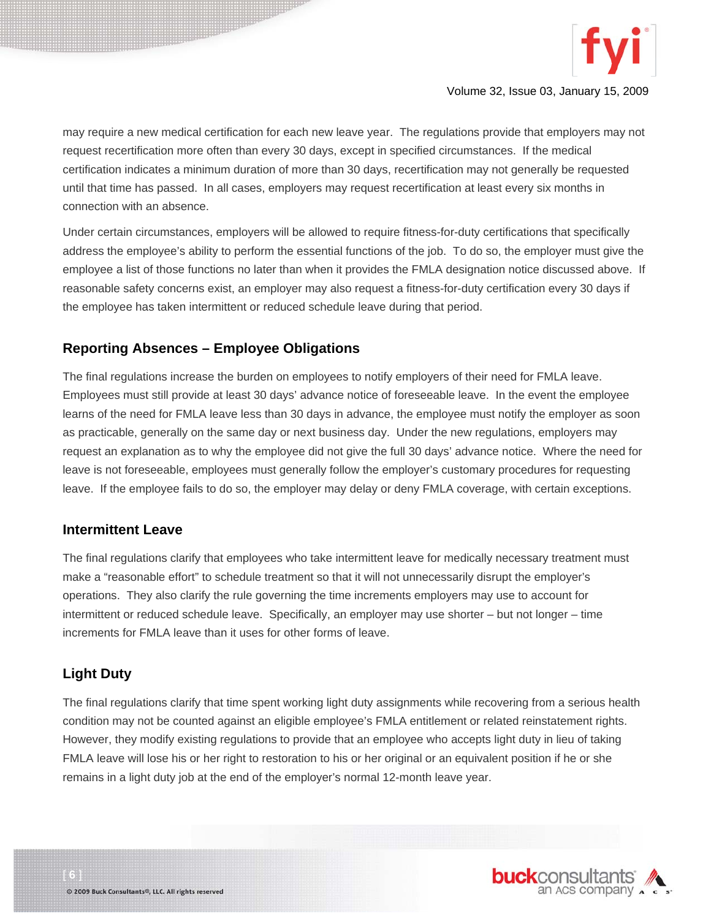

may require a new medical certification for each new leave year. The regulations provide that employers may not request recertification more often than every 30 days, except in specified circumstances. If the medical certification indicates a minimum duration of more than 30 days, recertification may not generally be requested until that time has passed. In all cases, employers may request recertification at least every six months in connection with an absence.

Under certain circumstances, employers will be allowed to require fitness-for-duty certifications that specifically address the employee's ability to perform the essential functions of the job. To do so, the employer must give the employee a list of those functions no later than when it provides the FMLA designation notice discussed above. If reasonable safety concerns exist, an employer may also request a fitness-for-duty certification every 30 days if the employee has taken intermittent or reduced schedule leave during that period.

#### **Reporting Absences – Employee Obligations**

The final regulations increase the burden on employees to notify employers of their need for FMLA leave. Employees must still provide at least 30 days' advance notice of foreseeable leave. In the event the employee learns of the need for FMLA leave less than 30 days in advance, the employee must notify the employer as soon as practicable, generally on the same day or next business day. Under the new regulations, employers may request an explanation as to why the employee did not give the full 30 days' advance notice. Where the need for leave is not foreseeable, employees must generally follow the employer's customary procedures for requesting leave. If the employee fails to do so, the employer may delay or deny FMLA coverage, with certain exceptions.

#### **Intermittent Leave**

The final regulations clarify that employees who take intermittent leave for medically necessary treatment must make a "reasonable effort" to schedule treatment so that it will not unnecessarily disrupt the employer's operations. They also clarify the rule governing the time increments employers may use to account for intermittent or reduced schedule leave. Specifically, an employer may use shorter – but not longer – time increments for FMLA leave than it uses for other forms of leave.

#### **Light Duty**

The final regulations clarify that time spent working light duty assignments while recovering from a serious health condition may not be counted against an eligible employee's FMLA entitlement or related reinstatement rights. However, they modify existing regulations to provide that an employee who accepts light duty in lieu of taking FMLA leave will lose his or her right to restoration to his or her original or an equivalent position if he or she remains in a light duty job at the end of the employer's normal 12-month leave year.